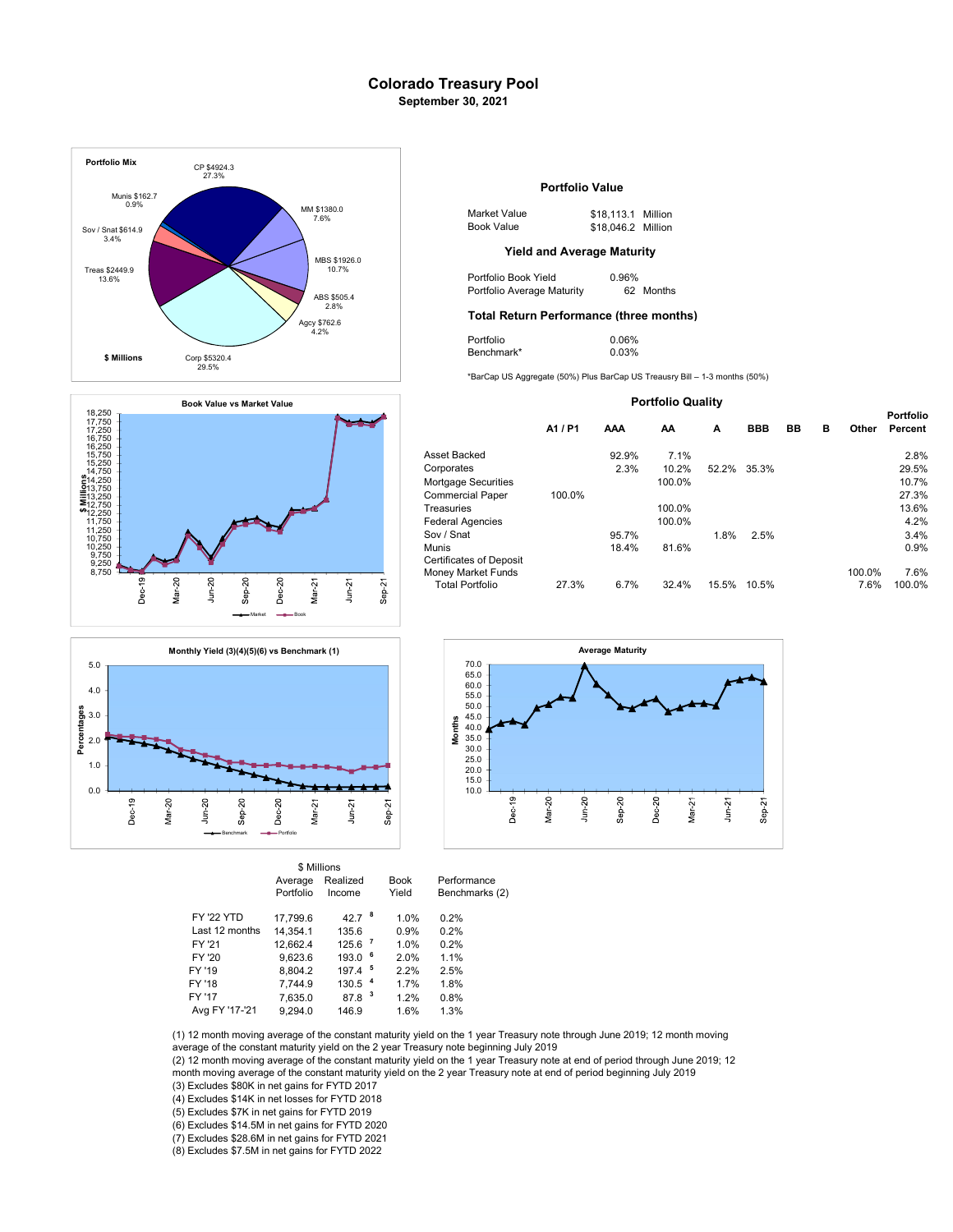## Colorado Treasury Pool September 30, 2021







|                   |           | \$ Millions        |                |             |                |
|-------------------|-----------|--------------------|----------------|-------------|----------------|
|                   | Average   | Realized           |                | <b>Book</b> | Performance    |
|                   | Portfolio | Income             |                | Yield       | Benchmarks (2) |
| <b>FY '22 YTD</b> | 17.799.6  | 42.7 $8$           |                | 1.0%        | 0.2%           |
| Last 12 months    | 14.354.1  | 135.6              |                | 0.9%        | 0.2%           |
| FY '21            | 12,662.4  | 125.6 <sup>7</sup> |                | 1.0%        | 0.2%           |
| FY '20            | 9,623.6   | 193.0              | 6              | 2.0%        | 1.1%           |
| FY '19            | 8.804.2   | 197.4              | - 5            | 2.2%        | 2.5%           |
| FY '18            | 7.744.9   | 130.5              | $\overline{4}$ | 1.7%        | 1.8%           |
| FY '17            | 7,635.0   | 87.8               | 3              | 1.2%        | 0.8%           |
| Avg FY '17-'21    | 9.294.0   | 146.9              |                | 1.6%        | 1.3%           |



| \$1380.0<br>7.6% | Market Value | \$18,113.1 Million |  |
|------------------|--------------|--------------------|--|
|                  | Book Value   | \$18,046.2 Million |  |

| Portfolio Book Yield       | 0.96%     |
|----------------------------|-----------|
| Portfolio Average Maturity | 62 Months |

# Total Return Performance (three months) 2.8%

| Portfolio  | 0.06% |
|------------|-------|
| Benchmark* | 0.03% |

\*BarCap US Aggregate (50%) Plus BarCap US Treausry Bill – 1-3 months (50%)

| <b>Portfolio Quality</b>                                                       |         |       |        |       |            |    |   |                |                      |
|--------------------------------------------------------------------------------|---------|-------|--------|-------|------------|----|---|----------------|----------------------|
|                                                                                | A1 / P1 | AAA   | AA     | A     | <b>BBB</b> | BB | в | Other          | Portfolio<br>Percent |
| Asset Backed                                                                   |         | 92.9% | 7.1%   |       |            |    |   |                | 2.8%                 |
| Corporates                                                                     |         | 2.3%  | 10.2%  | 52.2% | 35.3%      |    |   |                | 29.5%                |
| Mortgage Securities                                                            |         |       | 100.0% |       |            |    |   |                | 10.7%                |
| <b>Commercial Paper</b>                                                        | 100.0%  |       |        |       |            |    |   |                | 27.3%                |
| Treasuries                                                                     |         |       | 100.0% |       |            |    |   |                | 13.6%                |
| <b>Federal Agencies</b>                                                        |         |       | 100.0% |       |            |    |   |                | 4.2%                 |
| Sov / Snat                                                                     |         | 95.7% |        | 1.8%  | 2.5%       |    |   |                | 3.4%                 |
| Munis                                                                          |         | 18.4% | 81.6%  |       |            |    |   |                | 0.9%                 |
| <b>Certificates of Deposit</b><br>Money Market Funds<br><b>Total Portfolio</b> | 27.3%   | 6.7%  | 32.4%  | 15.5% | 10.5%      |    |   | 100.0%<br>7.6% | 7.6%<br>100.0%       |
|                                                                                |         |       |        |       |            |    |   |                |                      |



(1) 12 month moving average of the constant maturity yield on the 1 year Treasury note through June 2019; 12 month moving average of the constant maturity yield on the 2 year Treasury note beginning July 2019

(2) 12 month moving average of the constant maturity yield on the 1 year Treasury note at end of period through June 2019; 12<br>month moving average of the constant maturity yield on the 2 year Treasury note at end of period

(3) Excludes \$80K in net gains for FYTD 2017

(4) Excludes \$14K in net losses for FYTD 2018

(5) Excludes \$7K in net gains for FYTD 2019

(6) Excludes \$14.5M in net gains for FYTD 2020

(7) Excludes \$28.6M in net gains for FYTD 2021

(8) Excludes \$7.5M in net gains for FYTD 2022